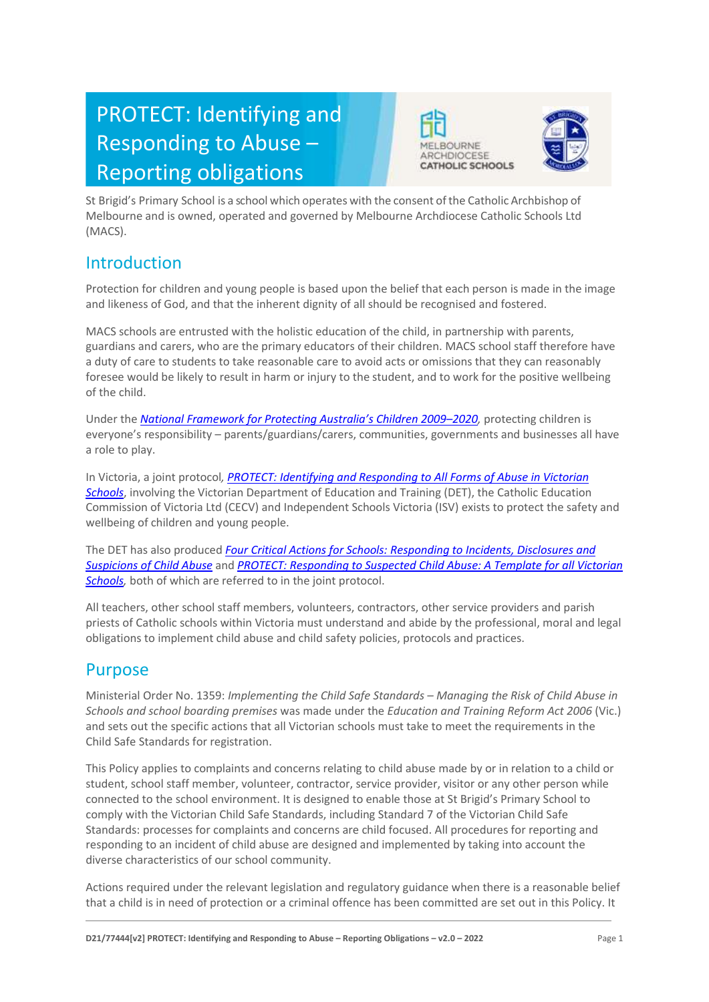# PROTECT: Identifying and Responding to Abuse – Reporting obligations





St Brigid's Primary School is a school which operates with the consent of the Catholic Archbishop of Melbourne and is owned, operated and governed by Melbourne Archdiocese Catholic Schools Ltd (MACS).

# Introduction

Protection for children and young people is based upon the belief that each person is made in the image and likeness of God, and that the inherent dignity of all should be recognised and fostered.

MACS schools are entrusted with the holistic education of the child, in partnership with parents, guardians and carers, who are the primary educators of their children. MACS school staff therefore have a duty of care to students to take reasonable care to avoid acts or omissions that they can reasonably foresee would be likely to result in harm or injury to the student, and to work for the positive wellbeing of the child.

Under the *National Framework for Pr[otecting Australia's Children 2009–](https://www.dss.gov.au/our-responsibilities/families-and-children/publications-articles/protecting-children-is-everyones-business)202[0,](https://www.dss.gov.au/our-responsibilities/families-and-children/publications-articles/protecting-children-is-everyones-business)* protecting children is everyone's responsibility – parents/guardians/carers, communities, governments and businesses all have a role to play.

In Victoria, a joint protocol*, [PROTECT: Identifying and Responding to All Forms of Abuse in Victorian](http://www.education.vic.gov.au/Documents/about/programs/health/protect/ChildSafeStandard5_SchoolsGuide.pdf)  [Schools](http://www.education.vic.gov.au/Documents/about/programs/health/protect/ChildSafeStandard5_SchoolsGuide.pdf)*[, i](http://www.education.vic.gov.au/Documents/about/programs/health/protect/ChildSafeStandard5_SchoolsGuide.pdf)nvolving the Victorian Department of Education and Training (DET), the Catholic Education Commission of Victoria Ltd (CECV) and Independent Schools Victoria (ISV) exists to protect the safety and wellbeing of children and young people.

The DET has also produced *[Four Critical Actions for Schools: Responding to Incidents, Disclosures and](http://www.education.vic.gov.au/Documents/about/programs/health/protect/FourCriticalActions_ChildAbuse.pdf)  [Suspicions of Child Abuse](http://www.education.vic.gov.au/Documents/about/programs/health/protect/FourCriticalActions_ChildAbuse.pdf)* and *[PROTECT: Responding to Suspected Child Abuse: A Template for all Victorian](http://www.education.vic.gov.au/Documents/about/programs/health/protect/PROTECT_Responding_TemplateSchools.pdf)  [Schools,](http://www.education.vic.gov.au/Documents/about/programs/health/protect/PROTECT_Responding_TemplateSchools.pdf)* both of which are referred to in the joint protocol.

All teachers, other school staff members, volunteers, contractors, other service providers and parish priests of Catholic schools within Victoria must understand and abide by the professional, moral and legal obligations to implement child abuse and child safety policies, protocols and practices.

# Purpose

Ministerial Order No. 1359: *Implementing the Child Safe Standards – Managing the Risk of Child Abuse in Schools and school boarding premises* was made under the *Education and Training Reform Act 2006* (Vic.) and sets out the specific actions that all Victorian schools must take to meet the requirements in the Child Safe Standards for registration.

This Policy applies to complaints and concerns relating to child abuse made by or in relation to a child or student, school staff member, volunteer, contractor, service provider, visitor or any other person while connected to the school environment. It is designed to enable those at St Brigid's Primary School to comply with the Victorian Child Safe Standards, including Standard 7 of the Victorian Child Safe Standards: processes for complaints and concerns are child focused. All procedures for reporting and responding to an incident of child abuse are designed and implemented by taking into account the diverse characteristics of our school community.

Actions required under the relevant legislation and regulatory guidance when there is a reasonable belief that a child is in need of protection or a criminal offence has been committed are set out in this Policy. It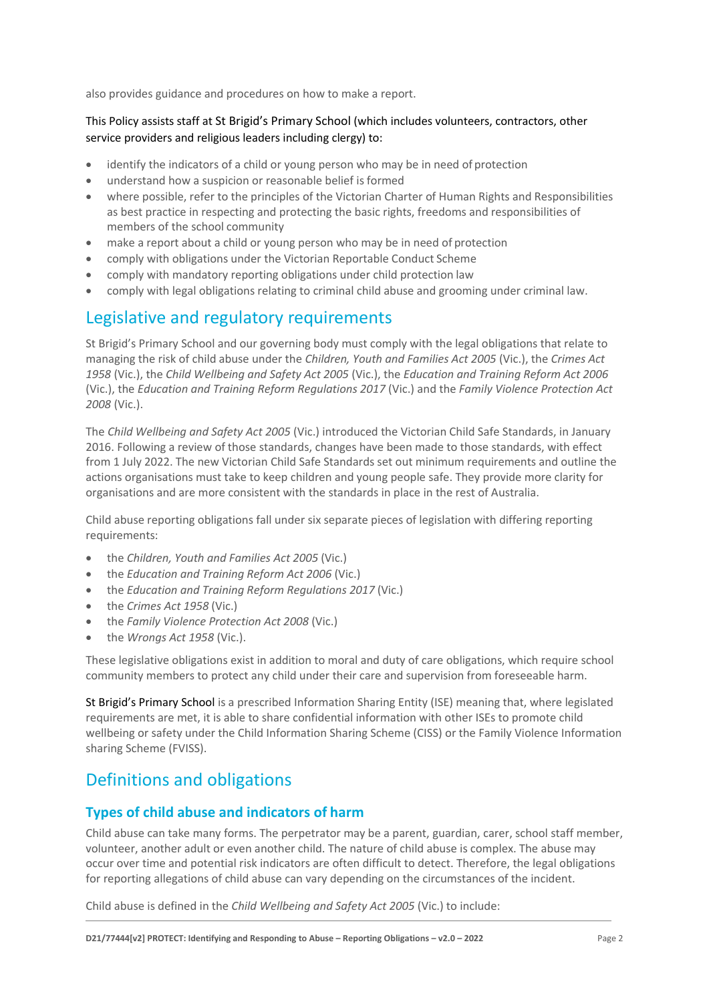also provides guidance and procedures on how to make a report.

# This Policy assists staff at St Brigid's Primary School (which includes volunteers, contractors, other service providers and religious leaders including clergy) to:

- identify the indicators of a child or young person who may be in need of protection
- understand how a suspicion or reasonable belief is formed
- where possible, refer to the principles of the Victorian Charter of Human Rights and Responsibilities as best practice in respecting and protecting the basic rights, freedoms and responsibilities of members of the school community
- make a report about a child or young person who may be in need of protection
- comply with obligations under the Victorian Reportable Conduct Scheme
- comply with mandatory reporting obligations under child protection law
- comply with legal obligations relating to criminal child abuse and grooming under criminal law.

# Legislative and regulatory requirements

St Brigid's Primary School and our governing body must comply with the legal obligations that relate to managing the risk of child abuse under the *Children, Youth and Families Act 2005* (Vic.), the *Crimes Act 1958* (Vic.), the *Child Wellbeing and Safety Act 2005* (Vic.), the *Education and Training Reform Act 2006* (Vic.), the *Education and Training Reform Regulations 2017* (Vic.) and the *Family Violence Protection Act 2008* (Vic.).

The *Child Wellbeing and Safety Act 2005* (Vic.) introduced the Victorian Child Safe Standards, in January 2016. Following a review of those standards, changes have been made to those standards, with effect from 1 July 2022. The new Victorian Child Safe Standards set out minimum requirements and outline the actions organisations must take to keep children and young people safe. They provide more clarity for organisations and are more consistent with the standards in place in the rest of Australia.

Child abuse reporting obligations fall under six separate pieces of legislation with differing reporting requirements:

- the *Children, Youth and Families Act 2005* (Vic.)
- the *Education and Training Reform Act 2006* (Vic.)
- the *Education and Training Reform Regulations 2017* (Vic.)
- the *Crimes Act 1958* (Vic.)
- the *Family Violence Protection Act 2008* (Vic.)
- the *Wrongs Act 1958* (Vic.).

These legislative obligations exist in addition to moral and duty of care obligations, which require school community members to protect any child under their care and supervision from foreseeable harm.

St Brigid's Primary School is a prescribed Information Sharing Entity (ISE) meaning that, where legislated requirements are met, it is able to share confidential information with other ISEs to promote child wellbeing or safety under the Child Information Sharing Scheme (CISS) or the Family Violence Information sharing Scheme (FVISS).

# Definitions and obligations

# **Types of child abuse and indicators of harm**

Child abuse can take many forms. The perpetrator may be a parent, guardian, carer, school staff member, volunteer, another adult or even another child. The nature of child abuse is complex. The abuse may occur over time and potential risk indicators are often difficult to detect. Therefore, the legal obligations for reporting allegations of child abuse can vary depending on the circumstances of the incident.

Child abuse is defined in the *Child Wellbeing and Safety Act 2005* (Vic.) to include: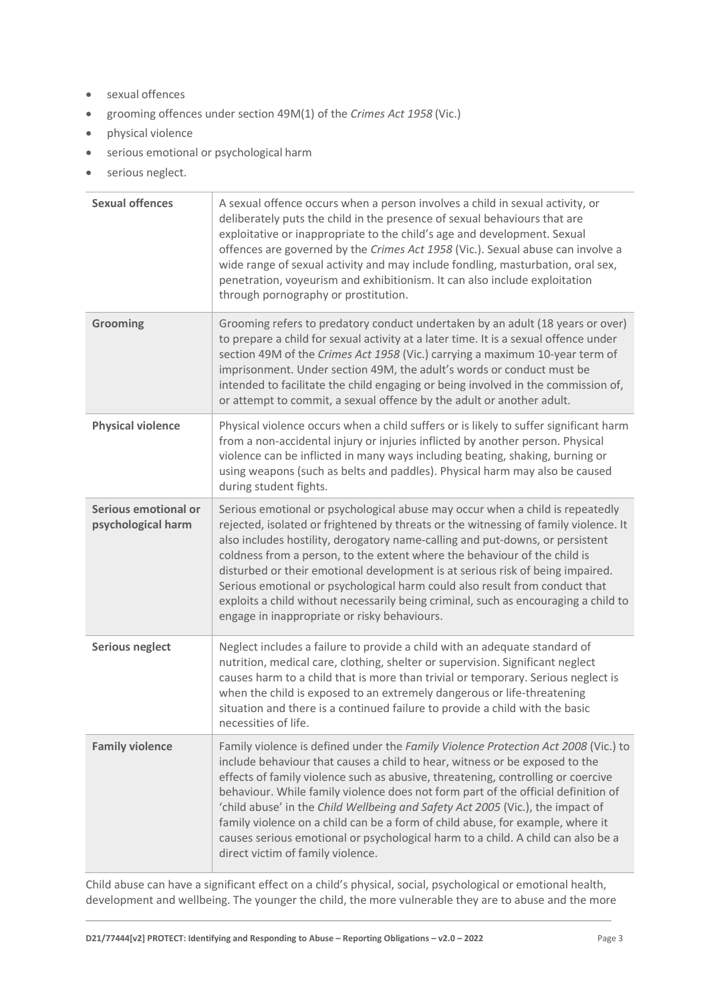- sexual offences
- grooming offences under section 49M(1) of the *Crimes Act 1958* (Vic.)
- physical violence
- serious emotional or psychological harm
- serious neglect.

| <b>Sexual offences</b>                     | A sexual offence occurs when a person involves a child in sexual activity, or<br>deliberately puts the child in the presence of sexual behaviours that are<br>exploitative or inappropriate to the child's age and development. Sexual<br>offences are governed by the Crimes Act 1958 (Vic.). Sexual abuse can involve a<br>wide range of sexual activity and may include fondling, masturbation, oral sex,<br>penetration, voyeurism and exhibitionism. It can also include exploitation<br>through pornography or prostitution.                                                                                                          |
|--------------------------------------------|---------------------------------------------------------------------------------------------------------------------------------------------------------------------------------------------------------------------------------------------------------------------------------------------------------------------------------------------------------------------------------------------------------------------------------------------------------------------------------------------------------------------------------------------------------------------------------------------------------------------------------------------|
| Grooming                                   | Grooming refers to predatory conduct undertaken by an adult (18 years or over)<br>to prepare a child for sexual activity at a later time. It is a sexual offence under<br>section 49M of the Crimes Act 1958 (Vic.) carrying a maximum 10-year term of<br>imprisonment. Under section 49M, the adult's words or conduct must be<br>intended to facilitate the child engaging or being involved in the commission of,<br>or attempt to commit, a sexual offence by the adult or another adult.                                                                                                                                               |
| <b>Physical violence</b>                   | Physical violence occurs when a child suffers or is likely to suffer significant harm<br>from a non-accidental injury or injuries inflicted by another person. Physical<br>violence can be inflicted in many ways including beating, shaking, burning or<br>using weapons (such as belts and paddles). Physical harm may also be caused<br>during student fights.                                                                                                                                                                                                                                                                           |
| Serious emotional or<br>psychological harm | Serious emotional or psychological abuse may occur when a child is repeatedly<br>rejected, isolated or frightened by threats or the witnessing of family violence. It<br>also includes hostility, derogatory name-calling and put-downs, or persistent<br>coldness from a person, to the extent where the behaviour of the child is<br>disturbed or their emotional development is at serious risk of being impaired.<br>Serious emotional or psychological harm could also result from conduct that<br>exploits a child without necessarily being criminal, such as encouraging a child to<br>engage in inappropriate or risky behaviours. |
| <b>Serious neglect</b>                     | Neglect includes a failure to provide a child with an adequate standard of<br>nutrition, medical care, clothing, shelter or supervision. Significant neglect<br>causes harm to a child that is more than trivial or temporary. Serious neglect is<br>when the child is exposed to an extremely dangerous or life-threatening<br>situation and there is a continued failure to provide a child with the basic<br>necessities of life.                                                                                                                                                                                                        |
| <b>Family violence</b>                     | Family violence is defined under the Family Violence Protection Act 2008 (Vic.) to<br>include behaviour that causes a child to hear, witness or be exposed to the<br>effects of family violence such as abusive, threatening, controlling or coercive<br>behaviour. While family violence does not form part of the official definition of<br>'child abuse' in the Child Wellbeing and Safety Act 2005 (Vic.), the impact of<br>family violence on a child can be a form of child abuse, for example, where it<br>causes serious emotional or psychological harm to a child. A child can also be a<br>direct victim of family violence.     |

Child abuse can have a significant effect on a child's physical, social, psychological or emotional health, development and wellbeing. The younger the child, the more vulnerable they are to abuse and the more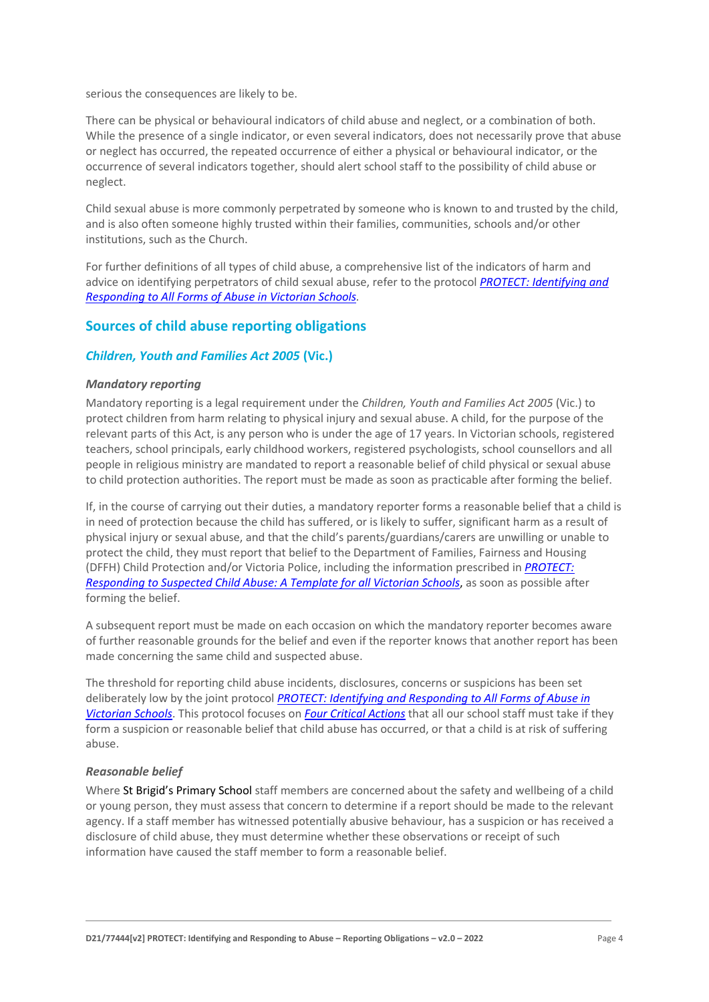serious the consequences are likely to be.

There can be physical or behavioural indicators of child abuse and neglect, or a combination of both. While the presence of a single indicator, or even several indicators, does not necessarily prove that abuse or neglect has occurred, the repeated occurrence of either a physical or behavioural indicator, or the occurrence of several indicators together, should alert school staff to the possibility of child abuse or neglect.

Child sexual abuse is more commonly perpetrated by someone who is known to and trusted by the child, and is also often someone highly trusted within their families, communities, schools and/or other institutions, such as the Church.

For further definitions of all types of child abuse, a comprehensive list of the indicators of harm and advice on identifying perpetrators of child sexual abuse, refer to the protocol *[PROTECT: Identifying and](https://www.education.vic.gov.au/Documents/about/programs/health/protect/ChildSafeStandard5_SchoolsGuide.pdf)  [Responding to All Forms of Abuse in Victorian Schools](https://www.education.vic.gov.au/Documents/about/programs/health/protect/ChildSafeStandard5_SchoolsGuide.pdf)[.](http://www.education.vic.gov.au/Documents/about/programs/health/protect/ChildSafeStandard5_SchoolsGuide.pdf)*

# **Sources of child abuse reporting obligations**

#### *Children, Youth and Families Act 2005* **(Vic.)**

#### *Mandatory reporting*

Mandatory reporting is a legal requirement under the *Children, Youth and Families Act 2005* (Vic.) to protect children from harm relating to physical injury and sexual abuse. A child, for the purpose of the relevant parts of this Act, is any person who is under the age of 17 years. In Victorian schools, registered teachers, school principals, early childhood workers, registered psychologists, school counsellors and all people in religious ministry are mandated to report a reasonable belief of child physical or sexual abuse to child protection authorities. The report must be made as soon as practicable after forming the belief.

If, in the course of carrying out their duties, a mandatory reporter forms a reasonable belief that a child is in need of protection because the child has suffered, or is likely to suffer, significant harm as a result of physical injury or sexual abuse, and that the child's parents/guardians/carers are unwilling or unable to protect the child, they must report that belief to the Department of Families, Fairness and Housing (DFFH) Child Protection and/or Victoria Police, including the information prescribed in *[PROTECT:](http://www.education.vic.gov.au/Documents/about/programs/health/protect/PROTECT_Responding_TemplateSchools.pdf)  [Responding to Suspected Child Abuse: A Template for all Victorian Schools](http://www.education.vic.gov.au/Documents/about/programs/health/protect/PROTECT_Responding_TemplateSchools.pdf)*, as soon as possible after forming the belief.

A subsequent report must be made on each occasion on which the mandatory reporter becomes aware of further reasonable grounds for the belief and even if the reporter knows that another report has been made concerning the same child and suspected abuse.

The threshold for reporting child abuse incidents, disclosures, concerns or suspicions has been set deliberately low by the joint protocol *[PROTECT: Identifying and Responding to All Forms of Abuse in](http://www.education.vic.gov.au/Documents/about/programs/health/protect/ChildSafeStandard5_SchoolsGuide.pdf)  [Victorian Schools](http://www.education.vic.gov.au/Documents/about/programs/health/protect/ChildSafeStandard5_SchoolsGuide.pdf)*[. T](http://www.education.vic.gov.au/Documents/about/programs/health/protect/ChildSafeStandard5_SchoolsGuide.pdf)his protocol focuses on *[Four Critical Actions](http://www.education.vic.gov.au/Documents/about/programs/health/protect/FourCriticalActions_ChildAbuse.pdf)* that all our school staff must take if they form a suspicion or reasonable belief that child abuse has occurred, or that a child is at risk of suffering abuse.

#### <span id="page-3-0"></span>*Reasonable belief*

Where St Brigid's Primary School staff members are concerned about the safety and wellbeing of a child or young person, they must assess that concern to determine if a report should be made to the relevant agency. If a staff member has witnessed potentially abusive behaviour, has a suspicion or has received a disclosure of child abuse, they must determine whether these observations or receipt of such information have caused the staff member to form a reasonable belief.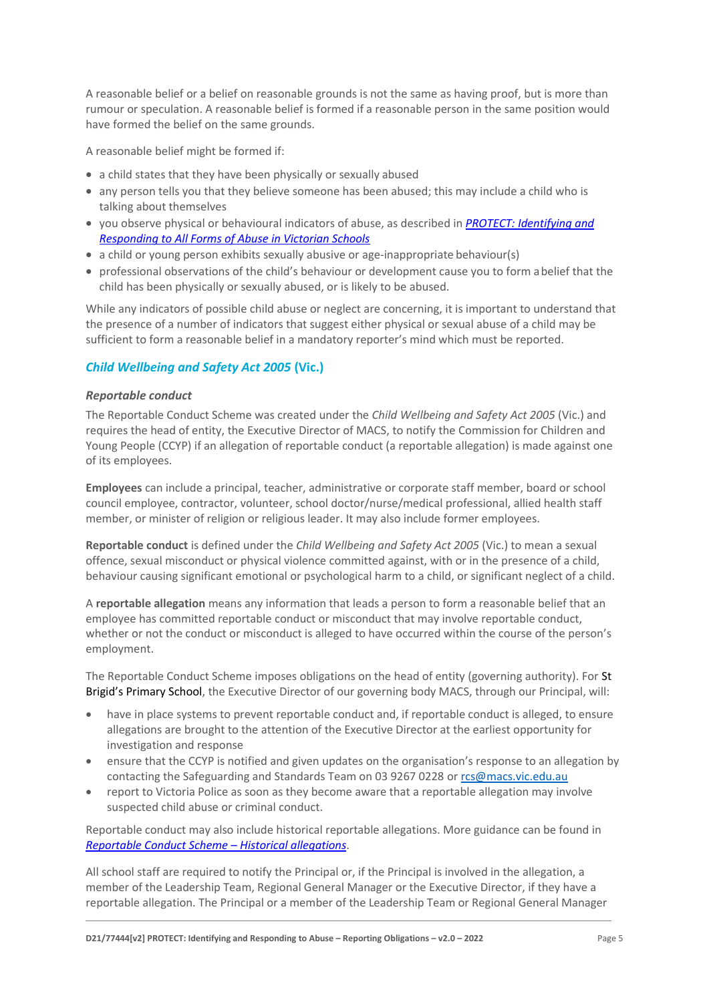A reasonable belief or a belief on reasonable grounds is not the same as having proof, but is more than rumour or speculation. A reasonable belief is formed if a reasonable person in the same position would have formed the belief on the same grounds.

A reasonable belief might be formed if:

- a child states that they have been physically or sexually abused
- any person tells you that they believe someone has been abused; this may include a child who is talking about themselves
- you observe physical or behavioural indicators of abuse, as described in *[PROTECT: Identifying and](http://www.education.vic.gov.au/Documents/about/programs/health/protect/ChildSafeStandard5_SchoolsGuide.pdf)  [Responding to All Forms of Abuse in Victorian Schools](http://www.education.vic.gov.au/Documents/about/programs/health/protect/ChildSafeStandard5_SchoolsGuide.pdf)*
- a child or young person exhibits sexually abusive or age-inappropriate behaviour(s)
- professional observations of the child's behaviour or development cause you to form abelief that the child has been physically or sexually abused, or is likely to be abused.

While any indicators of possible child abuse or neglect are concerning, it is important to understand that the presence of a number of indicators that suggest either physical or sexual abuse of a child may be sufficient to form a reasonable belief in a mandatory reporter's mind which must be reported.

# *Child Wellbeing and Safety Act 2005* **(Vic.)**

#### *Reportable conduct*

The Reportable Conduct Scheme was created under the *Child Wellbeing and Safety Act 2005* (Vic.) and requires the head of entity, the Executive Director of MACS, to notify the Commission for Children and Young People (CCYP) if an allegation of reportable conduct (a reportable allegation) is made against one of its employees.

**Employees** can include a principal, teacher, administrative or corporate staff member, board or school council employee, contractor, volunteer, school doctor/nurse/medical professional, allied health staff member, or minister of religion or religious leader. It may also include former employees.

**Reportable conduct** is defined under the *Child Wellbeing and Safety Act 2005* (Vic.) to mean a sexual offence, sexual misconduct or physical violence committed against, with or in the presence of a child, behaviour causing significant emotional or psychological harm to a child, or significant neglect of a child.

A **reportable allegation** means any information that leads a person to form a reasonable belief that an employee has committed reportable conduct or misconduct that may involve reportable conduct, whether or not the conduct or misconduct is alleged to have occurred within the course of the person's employment.

The Reportable Conduct Scheme imposes obligations on the head of entity (governing authority). For St Brigid's Primary School, the Executive Director of our governing body MACS, through our Principal, will:

- have in place systems to prevent reportable conduct and, if reportable conduct is alleged, to ensure allegations are brought to the attention of the Executive Director at the earliest opportunity for investigation and response
- ensure that the CCYP is notified and given updates on the organisation's response to an allegation by contacting the Safeguarding and Standards Team on 03 9267 0228 or [rcs@macs.vic.edu.au](mailto:rcs@macs.vic.edu.au)
- report to Victoria Police as soon as they become aware that a reportable allegation may involve suspected child abuse or criminal conduct.

Reportable conduct may also include historical reportable allegations. More guidance can be found in *[Reportable Conduct Scheme](https://ccyp.vic.gov.au/assets/resources/RCSInfoSheetUpdates/Historical-Allegations-110718.pdf) – Historical allegations*.

All school staff are required to notify the Principal or, if the Principal is involved in the allegation, a member of the Leadership Team, Regional General Manager or the Executive Director, if they have a reportable allegation. The Principal or a member of the Leadership Team or Regional General Manager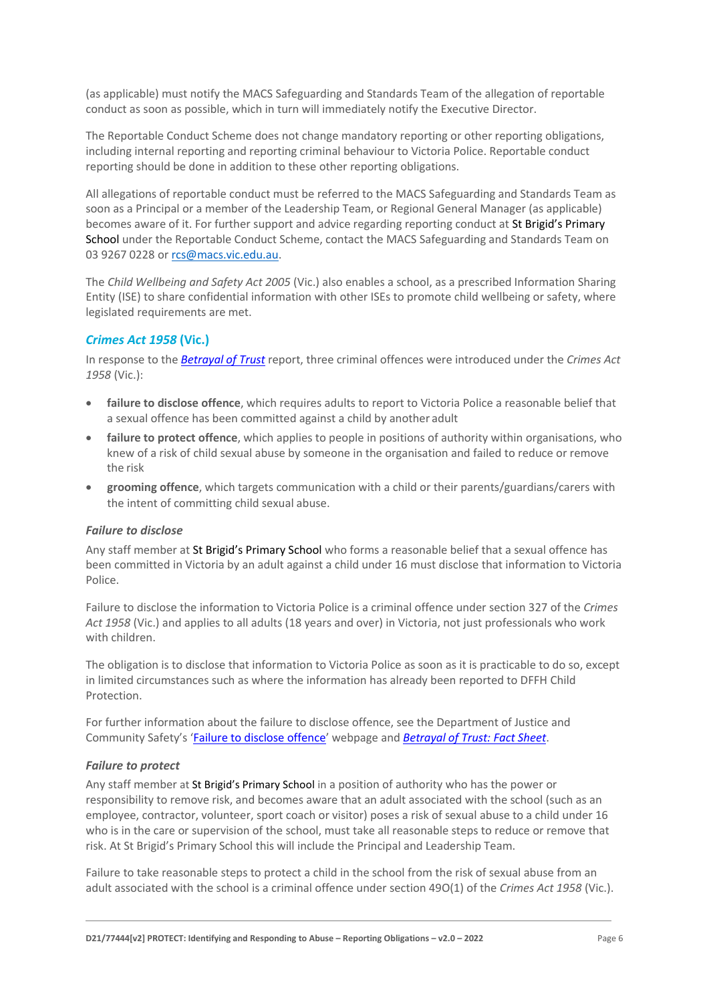(as applicable) must notify the MACS Safeguarding and Standards Team of the allegation of reportable conduct as soon as possible, which in turn will immediately notify the Executive Director.

The Reportable Conduct Scheme does not change mandatory reporting or other reporting obligations, including internal reporting and reporting criminal behaviour to Victoria Police. Reportable conduct reporting should be done in addition to these other reporting obligations.

All allegations of reportable conduct must be referred to the MACS Safeguarding and Standards Team as soon as a Principal or a member of the Leadership Team, or Regional General Manager (as applicable) becomes aware of it. For further support and advice regarding reporting conduct at St Brigid's Primary School under the Reportable Conduct Scheme, contact the MACS Safeguarding and Standards Team on 03 9267 0228 or [rcs@macs.vic.edu.au.](mailto:rcs@macs.vic.edu.au)

The *Child Wellbeing and Safety Act 2005* (Vic.) also enables a school, as a prescribed Information Sharing Entity (ISE) to share confidential information with other ISEs to promote child wellbeing or safety, where legislated requirements are met.

# *Crimes Act 1958* **(Vic.)**

In response to the *[Betrayal of Trust](http://www.parliament.vic.gov.au/file_uploads/Inquiry_into_Handling_of_Abuse_Volume_2_FINAL_web_y78t3Wpb.pdf)* report, three criminal offences were introduced under the *Crimes Act 1958* (Vic.):

- **[failure to disclose offence](http://www.justice.vic.gov.au/home/safer%2Bcommunities/protecting%2Bchildren%2Band%2Bfamilies/failure%2Bto%2Bdisclose%2Boffence)**, which requires adults to report to Victoria Police a reasonable belief that a sexual offence has been committed against a child by another adult
- **[failure to protect offence](http://www.justice.vic.gov.au/home/safer%2Bcommunities/protecting%2Bchildren%2Band%2Bfamilies/failure%2Bto%2Bprotect%2Boffence)**, which applies to people in positions of authority within organisations, who knew of a risk of child sexual abuse by someone in the organisation and failed to reduce or remove the risk
- **[grooming offence](http://www.justice.vic.gov.au/home/safer%2Bcommunities/protecting%2Bchildren%2Band%2Bfamilies/grooming%2Boffence)**, which targets communication with a child or their parents/guardians/carers with the intent of committing child sexual abuse.

#### <span id="page-5-0"></span>*Failure to disclose*

Any staff member at St Brigid's Primary School who forms a reasonable belief that a sexual offence has been committed in Victoria by an adult against a child under 16 must disclose that information to Victoria Police.

Failure to disclose the information to Victoria Police is a criminal offence under section 327 of the *Crimes Act 1958* (Vic.) and applies to all adults (18 years and over) in Victoria, not just professionals who work with children.

The obligation is to disclose that information to Victoria Police as soon as it is practicable to do so, except in limited circumstances such as where the information has already been reported to DFFH Child Protection.

For further information about the failure to disclose offence, see the Department of Justice and Community Safety's '[Failure to disclose offence](https://www.justice.vic.gov.au/safer-communities/protecting-children-and-families/failure-to-disclose-offence)' webpage and *[Betrayal of Trust: Fact Sheet](https://www.justice.vic.gov.au/sites/default/files/embridge_cache/emshare/original/public/2020/06/c5/7f42d28f3/betrayal_of_trust-organisational_duty_fact_sheet_2018%20.doc)*.

#### *Failure to protect*

Any staff member at St Brigid's Primary School in a position of authority who has the power or responsibility to remove risk, and becomes aware that an adult associated with the school (such as an employee, contractor, volunteer, sport coach or visitor) poses a risk of sexual abuse to a child under 16 who is in the care or supervision of the school, must take all reasonable steps to reduce or remove that risk. At St Brigid's Primary School this will include the Principal and Leadership Team.

Failure to take reasonable steps to protect a child in the school from the risk of sexual abuse from an adult associated with the school is a criminal offence under section 49O(1) of the *Crimes Act 1958* (Vic.).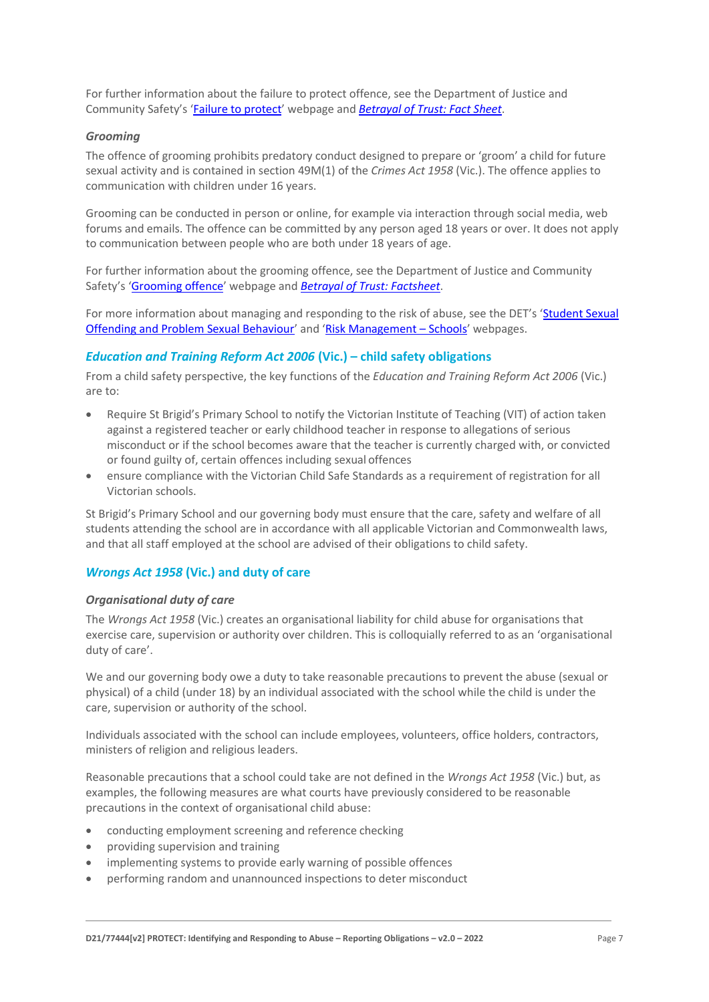For further information about the failure to protect offence, see the Department of Justice and Community Safety's '[Failure to protect](https://www.justice.vic.gov.au/safer-communities/protecting-children-and-families/failure-to-protect-a-new-criminal-offence-to)' webpage and *[Betrayal of Trust: Fact Sheet](https://www.justice.vic.gov.au/sites/default/files/embridge_cache/emshare/original/public/2020/06/e0/4460c5147/failure_to_protect_betrayal_of_trust_factsheet_2017.pdf)*.

#### *Grooming*

The offence of grooming prohibits predatory conduct designed to prepare or 'groom' a child for future sexual activity and is contained in section 49M(1) of the *Crimes Act 1958* (Vic.). The offence applies to communication with children under 16 years.

Grooming can be conducted in person or online, for example via interaction through social media, web forums and emails. The offence can be committed by any person aged 18 years or over. It does not apply to communication between people who are both under 18 years of age.

For further information about the grooming offence, see the Department of Justice and Community Safety's '[Grooming offence](https://www.justice.vic.gov.au/safer-communities/protecting-children-and-families/grooming-offence)' webpage and *[Betrayal of Trust: Factsheet](https://www.justice.vic.gov.au/sites/default/files/embridge_cache/emshare/original/public/2020/06/e6/ea73d4b66/grooming_betrayal_of_trust_factsheet_2017.pdf)*.

For more information about managing and responding to the risk of abuse, see the DET's 'Student Sexual [Offending and Problem Sexual Behaviour](https://www2.education.vic.gov.au/pal/student-sexual-behaviours/policy)' and '[Risk Management](https://www2.education.vic.gov.au/pal/risk-management-schools/policy) – Schools' webpages.

#### *Education and Training Reform Act 2006* **(Vic.) – child safety obligations**

From a child safety perspective, the key functions of the *Education and Training Reform Act 2006* (Vic.) are to:

- Require St Brigid's Primary School to notify the Victorian Institute of Teaching (VIT) of action taken against a registered teacher or early childhood teacher in response to allegations of serious misconduct or if the school becomes aware that the teacher is currently charged with, or convicted or found guilty of, certain offences including sexual offences
- ensure compliance with the Victorian Child Safe Standards as a requirement of registration for all Victorian schools.

St Brigid's Primary School and our governing body must ensure that the care, safety and welfare of all students attending the school are in accordance with all applicable Victorian and Commonwealth laws, and that all staff employed at the school are advised of their obligations to child safety.

#### *Wrongs Act 1958* **(Vic.) and duty of care**

#### *Organisational duty of care*

The *Wrongs Act 1958* (Vic.) creates an organisational liability for child abuse for organisations that exercise care, supervision or authority over children. This is colloquially referred to as an 'organisational duty of care'.

We and our governing body owe a duty to take reasonable precautions to prevent the abuse (sexual or physical) of a child (under 18) by an individual associated with the school while the child is under the care, supervision or authority of the school.

Individuals associated with the school can include employees, volunteers, office holders, contractors, ministers of religion and religious leaders.

Reasonable precautions that a school could take are not defined in the *Wrongs Act 1958* (Vic.) but, as examples, the following measures are what courts have previously considered to be reasonable precautions in the context of organisational child abuse:

- conducting employment screening and reference checking
- providing supervision and training
- implementing systems to provide early warning of possible offences
- performing random and unannounced inspections to deter misconduct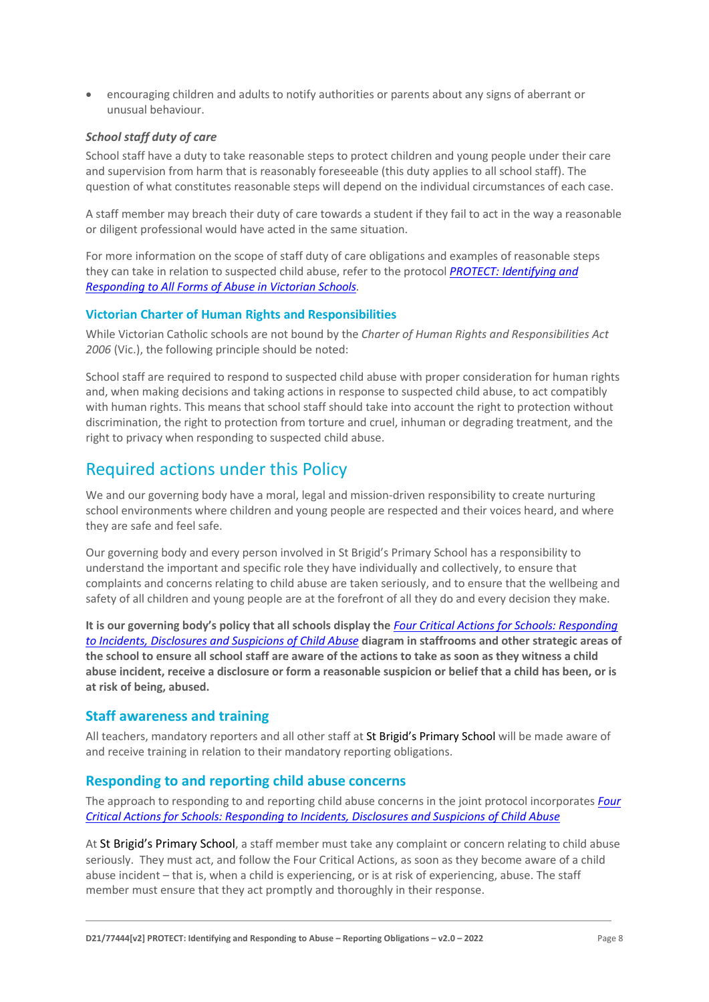• encouraging children and adults to notify authorities or parents about any signs of aberrant or unusual behaviour.

#### *School staff duty of care*

School staff have a duty to take reasonable steps to protect children and young people under their care and supervision from harm that is reasonably foreseeable (this duty applies to all school staff). The question of what constitutes reasonable steps will depend on the individual circumstances of each case.

A staff member may breach their duty of care towards a student if they fail to act in the way a reasonable or diligent professional would have acted in the same situation.

For more information on the scope of staff duty of care obligations and examples of reasonable steps they can take in relation to suspected child abuse, refer to the protocol *[PROTECT: Identifying and](http://www.education.vic.gov.au/Documents/about/programs/health/protect/ChildSafeStandard5_SchoolsGuide.pdf)  [Responding to All Forms of Abuse in Victorian Schools.](http://www.education.vic.gov.au/Documents/about/programs/health/protect/ChildSafeStandard5_SchoolsGuide.pdf)*

#### **Victorian Charter of Human Rights and Responsibilities**

While Victorian Catholic schools are not bound by the *Charter of Human Rights and Responsibilities Act 2006* (Vic.), the following principle should be noted:

School staff are required to respond to suspected child abuse with proper consideration for human rights and, when making decisions and taking actions in response to suspected child abuse, to act compatibly with human rights. This means that school staff should take into account the right to protection without discrimination, the right to protection from torture and cruel, inhuman or degrading treatment, and the right to privacy when responding to suspected child abuse.

# Required actions under this Policy

We and our governing body have a moral, legal and mission-driven responsibility to create nurturing school environments where children and young people are respected and their voices heard, and where they are safe and feel safe.

Our governing body and every person involved in St Brigid's Primary School has a responsibility to understand the important and specific role they have individually and collectively, to ensure that complaints and concerns relating to child abuse are taken seriously, and to ensure that the wellbeing and safety of all children and young people are at the forefront of all they do and every decision they make.

**It is our governing body's policy that all schools display the** *[Four Critical Actions for Schools: Responding](http://www.education.vic.gov.au/Documents/about/programs/health/protect/FourCriticalActions_ChildAbuse.pdf)  [to Incidents, Disclosures and Suspicions of Child Abuse](http://www.education.vic.gov.au/Documents/about/programs/health/protect/FourCriticalActions_ChildAbuse.pdf)* **diagram in staffrooms and other strategic areas of the school to ensure all school staff are aware of the actions to take as soon as they witness a child abuse incident, receive a disclosure or form a reasonable suspicion or belief that a child has been, or is at risk of being, abused.**

#### **Staff awareness and training**

All teachers, mandatory reporters and all other staff at St Brigid's Primary School will be made aware of and receive training in relation to their mandatory reporting obligations.

# **Responding to and reporting child abuse concerns**

The approach to responding to and reporting child abuse concerns in the joint protocol incorporates *[Four](http://www.education.vic.gov.au/Documents/about/programs/health/protect/FourCriticalActions_ChildAbuse.pdf)  [Critical Actions for Schools: Responding to Incidents, Disclosures and Suspicions of Child Abuse](http://www.education.vic.gov.au/Documents/about/programs/health/protect/FourCriticalActions_ChildAbuse.pdf)*

At St Brigid's Primary School, a staff member must take any complaint or concern relating to child abuse seriously. They must act, and follow the Four Critical Actions, as soon as they become aware of a child abuse incident – that is, when a child is experiencing, or is at risk of experiencing, abuse. The staff member must ensure that they act promptly and thoroughly in their response.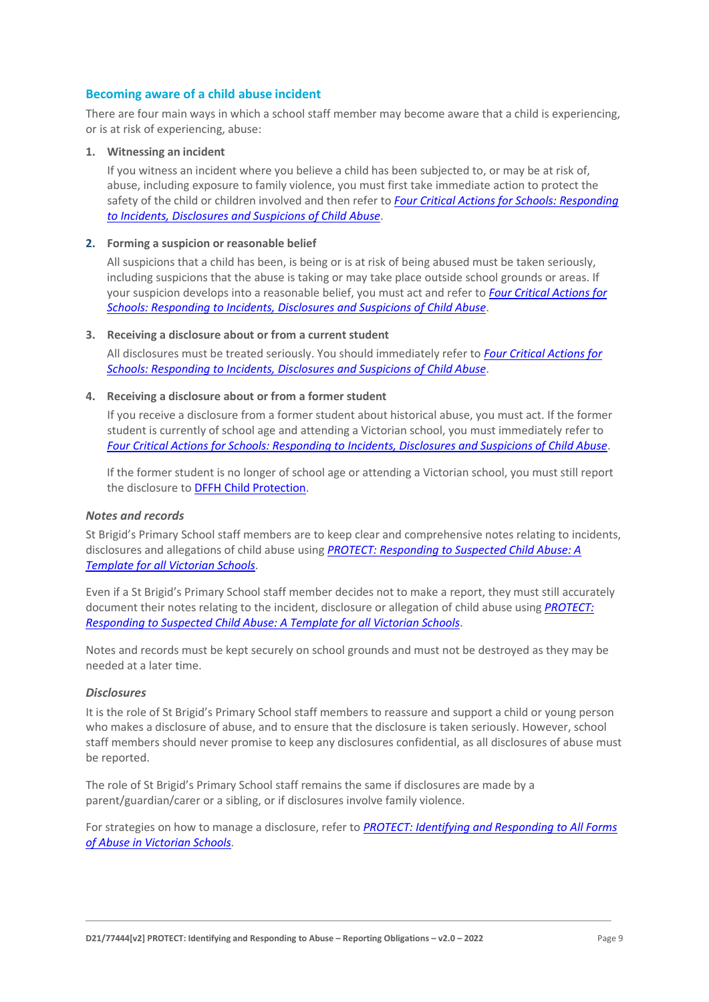#### **Becoming aware of a child abuse incident**

There are four main ways in which a school staff member may become aware that a child is experiencing, or is at risk of experiencing, abuse:

#### **1. Witnessing an incident**

If you witness an incident where you believe a child has been subjected to, or may be at risk of, abuse, including exposure to family violence, you must first take immediate action to protect the safety of the child or children involved and then refer to *[Four Critical Actions for Schools: Responding](http://www.education.vic.gov.au/Documents/about/programs/health/protect/FourCriticalActions_ChildAbuse.pdf)  [to Incidents, Disclosures and Suspicions of Child Abuse](http://www.education.vic.gov.au/Documents/about/programs/health/protect/FourCriticalActions_ChildAbuse.pdf)*.

#### **2. Forming a suspicion or reasonable belief**

All suspicions that a child has been, is being or is at risk of being abused must be taken seriously, including suspicions that the abuse is taking or may take place outside school grounds or areas. If your suspicion develops into a reasonable belief, you must act and refer to *[Four Critical Actions for](http://www.education.vic.gov.au/Documents/about/programs/health/protect/FourCriticalActions_ChildAbuse.pdf)  [Schools: Responding to Incidents, Disclosures and Suspicions of Child Abuse](http://www.education.vic.gov.au/Documents/about/programs/health/protect/FourCriticalActions_ChildAbuse.pdf)*.

#### **3. Receiving a disclosure about or from a current student**

All disclosures must be treated seriously. You should immediately refer to *[Four Critical Actions for](http://www.education.vic.gov.au/Documents/about/programs/health/protect/FourCriticalActions_ChildAbuse.pdf)  [Schools: Responding to Incidents, Disclosures and Suspicions of Child Abuse](http://www.education.vic.gov.au/Documents/about/programs/health/protect/FourCriticalActions_ChildAbuse.pdf)*[.](http://www.education.vic.gov.au/Documents/about/programs/health/protect/FourCriticalActions_ChildAbuse.pdf)

#### **4. Receiving a disclosure about or from a former student**

If you receive a disclosure from a former student about historical abuse, you must act. If the former student is currently of school age and attending a Victorian school, you must immediately refer to *[Four Critical Actions for Schools: Responding to Incidents, Disclosures and Suspicions of Child Abuse](http://www.education.vic.gov.au/Documents/about/programs/health/protect/FourCriticalActions_ChildAbuse.pdf)*[.](http://www.education.vic.gov.au/Documents/about/programs/health/protect/FourCriticalActions_ChildAbuse.pdf)

If the former student is no longer of school age or attending a Victorian school, you must still report the disclosure to DFFH [Child Protection](https://www.education.vic.gov.au/about/contact/Pages/reportingabuse.aspx)[.](http://www.education.vic.gov.au/about/contact/Pages/reportingabuse.aspx?Redirect=1)

#### *Notes and records*

St Brigid's Primary School staff members are to keep clear and comprehensive notes relating to incidents, disclosures and allegations of child abuse using *[PROTECT: Responding to Suspected Child Abuse: A](http://www.education.vic.gov.au/Documents/about/programs/health/protect/PROTECT_Responding_TemplateSchools.pdf)  [Template for all Victorian Schools](http://www.education.vic.gov.au/Documents/about/programs/health/protect/PROTECT_Responding_TemplateSchools.pdf)*.

Even if a St Brigid's Primary School staff member decides not to make a report, they must still accurately document their notes relating to the incident, disclosure or allegation of child abuse using *[PROTECT:](http://www.education.vic.gov.au/Documents/about/programs/health/protect/PROTECT_Responding_TemplateSchools.pdf)  [Responding to Suspected Child Abuse: A Template for all Victorian Schools](http://www.education.vic.gov.au/Documents/about/programs/health/protect/PROTECT_Responding_TemplateSchools.pdf)*.

Notes and records must be kept securely on school grounds and must not be destroyed as they may be needed at a later time.

#### *Disclosures*

It is the role of St Brigid's Primary School staff members to reassure and support a child or young person who makes a disclosure of abuse, and to ensure that the disclosure is taken seriously. However, school staff members should never promise to keep any disclosures confidential, as all disclosures of abuse must be reported.

The role of St Brigid's Primary School staff remains the same if disclosures are made by a parent/guardian/carer or a sibling, or if disclosures involve family violence.

For strategies on how to manage a disclosure, refer to *[PROTECT: Identifying and Responding to All Forms](http://www.education.vic.gov.au/Documents/about/programs/health/protect/ChildSafeStandard5_SchoolsGuide.pdf)  [of Abuse in Victorian Schools.](http://www.education.vic.gov.au/Documents/about/programs/health/protect/ChildSafeStandard5_SchoolsGuide.pdf)*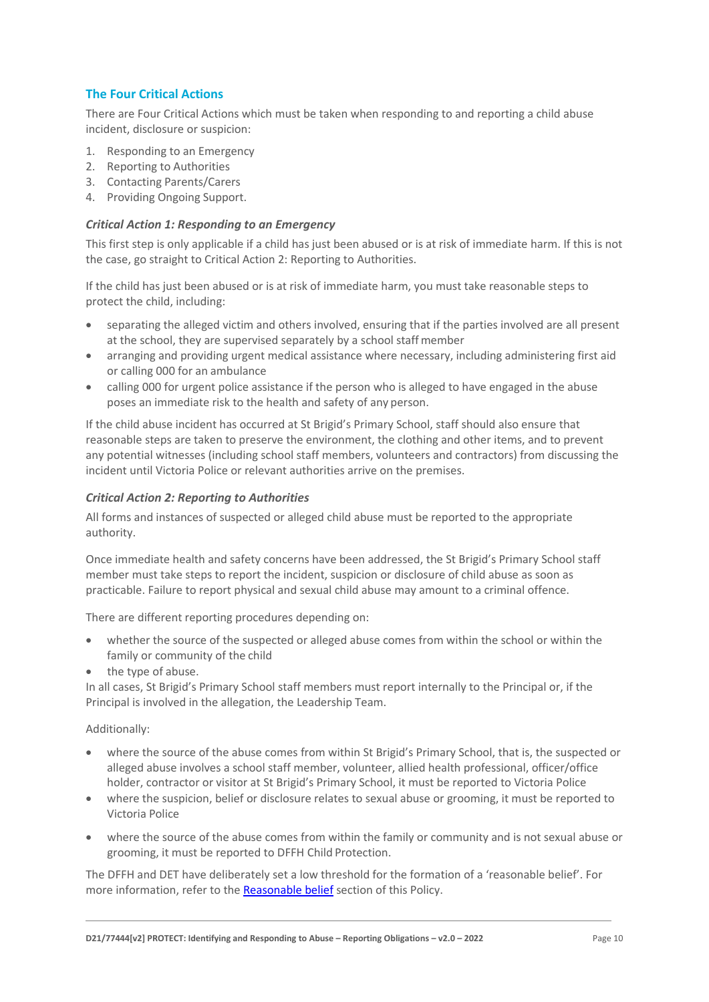# **The Four Critical Actions**

There are Four Critical Actions which must be taken when responding to and reporting a child abuse incident, disclosure or suspicion:

- 1. Responding to an Emergency
- 2. Reporting to Authorities
- 3. Contacting Parents/Carers
- 4. Providing Ongoing Support.

#### *Critical Action 1: Responding to an Emergency*

This first step is only applicable if a child has just been abused or is at risk of immediate harm. If this is not the case, go straight to Critical Action 2: Reporting to Authorities.

If the child has just been abused or is at risk of immediate harm, you must take reasonable steps to protect the child, including:

- separating the alleged victim and others involved, ensuring that if the parties involved are all present at the school, they are supervised separately by a school staffmember
- arranging and providing urgent medical assistance where necessary, including administering first aid or calling 000 for an ambulance
- calling 000 for urgent police assistance if the person who is alleged to have engaged in the abuse poses an immediate risk to the health and safety of any person.

If the child abuse incident has occurred at St Brigid's Primary School, staff should also ensure that reasonable steps are taken to preserve the environment, the clothing and other items, and to prevent any potential witnesses (including school staff members, volunteers and contractors) from discussing the incident until Victoria Police or relevant authorities arrive on the premises.

#### *Critical Action 2: Reporting to Authorities*

All forms and instances of suspected or alleged child abuse must be reported to the appropriate authority.

Once immediate health and safety concerns have been addressed, the St Brigid's Primary School staff member must take steps to report the incident, suspicion or disclosure of child abuse as soon as practicable. Failure to report physical and sexual child abuse may amount to a criminal offence.

There are different reporting procedures depending on:

- whether the source of the suspected or alleged abuse comes from within the school or within the family or community of the child
- the type of abuse.

In all cases, St Brigid's Primary School staff members must report internally to the Principal or, if the Principal is involved in the allegation, the Leadership Team.

#### Additionally:

- where the source of the abuse comes from within St Brigid's Primary School, that is, the suspected or alleged abuse involves a school staff member, volunteer, allied health professional, officer/office holder, contractor or visitor at St Brigid's Primary School, it must be reported to Victoria Police
- where the suspicion, belief or disclosure relates to sexual abuse or grooming, it must be reported to Victoria Police
- where the source of the abuse comes from within the family or community and is not sexual abuse or grooming, it must be reported to DFFH Child Protection.

The DFFH and DET have deliberately set a low threshold for the formation of a 'reasonable belief'. For more information, refer to the [Reasonable belief](#page-3-0) section of this Policy.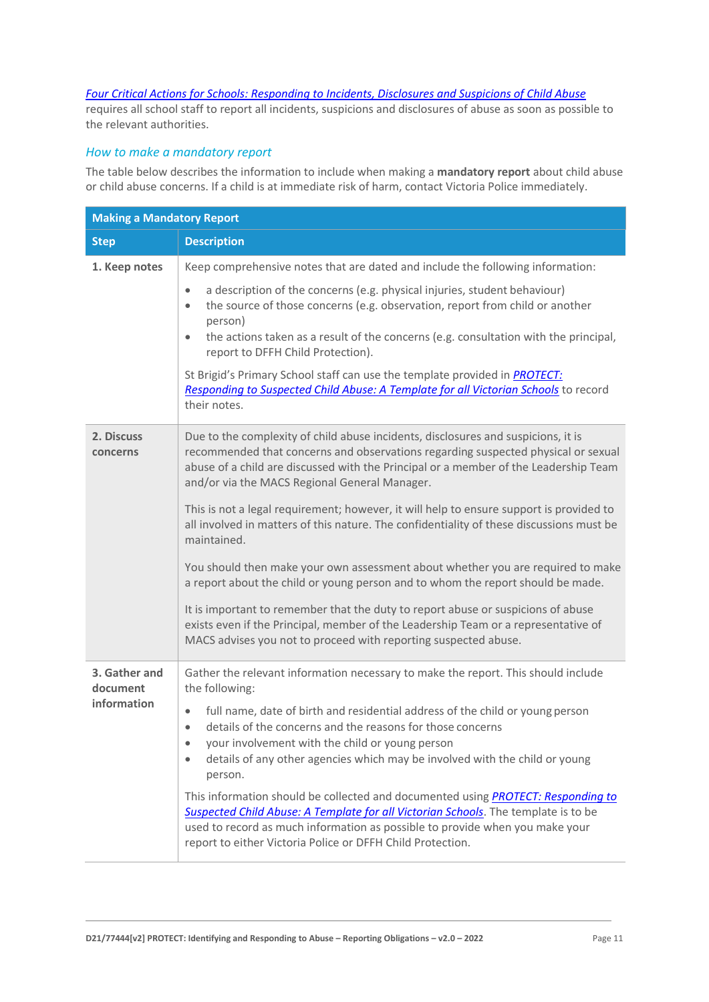# *[Four Critical Actions for Schools: Responding to Incidents, Disclosures and Suspicions of Child Abuse](http://www.education.vic.gov.au/Documents/about/programs/health/protect/FourCriticalActions_ChildAbuse.pdf)*

requires all school staff to report all incidents, suspicions and disclosures of abuse as soon as possible to the relevant authorities.

# *How to make a mandatory report*

The table below describes the information to include when making a **mandatory report** about child abuse or child abuse concerns. If a child is at immediate risk of harm, contact Victoria Police immediately.

| <b>Making a Mandatory Report</b> |                                                                                                                                                                                                                                                                                                                                                                                                                            |  |
|----------------------------------|----------------------------------------------------------------------------------------------------------------------------------------------------------------------------------------------------------------------------------------------------------------------------------------------------------------------------------------------------------------------------------------------------------------------------|--|
| <b>Step</b>                      | <b>Description</b>                                                                                                                                                                                                                                                                                                                                                                                                         |  |
| 1. Keep notes                    | Keep comprehensive notes that are dated and include the following information:<br>a description of the concerns (e.g. physical injuries, student behaviour)<br>$\bullet$<br>the source of those concerns (e.g. observation, report from child or another<br>$\bullet$<br>person)<br>the actions taken as a result of the concerns (e.g. consultation with the principal,<br>$\bullet$<br>report to DFFH Child Protection). |  |
|                                  | St Brigid's Primary School staff can use the template provided in <b>PROTECT</b> :<br>Responding to Suspected Child Abuse: A Template for all Victorian Schools to record<br>their notes.                                                                                                                                                                                                                                  |  |
| 2. Discuss<br>concerns           | Due to the complexity of child abuse incidents, disclosures and suspicions, it is<br>recommended that concerns and observations regarding suspected physical or sexual<br>abuse of a child are discussed with the Principal or a member of the Leadership Team<br>and/or via the MACS Regional General Manager.                                                                                                            |  |
|                                  | This is not a legal requirement; however, it will help to ensure support is provided to<br>all involved in matters of this nature. The confidentiality of these discussions must be<br>maintained.                                                                                                                                                                                                                         |  |
|                                  | You should then make your own assessment about whether you are required to make<br>a report about the child or young person and to whom the report should be made.                                                                                                                                                                                                                                                         |  |
|                                  | It is important to remember that the duty to report abuse or suspicions of abuse<br>exists even if the Principal, member of the Leadership Team or a representative of<br>MACS advises you not to proceed with reporting suspected abuse.                                                                                                                                                                                  |  |
| 3. Gather and<br>document        | Gather the relevant information necessary to make the report. This should include<br>the following:                                                                                                                                                                                                                                                                                                                        |  |
| information                      | full name, date of birth and residential address of the child or young person<br>$\bullet$<br>details of the concerns and the reasons for those concerns<br>$\bullet$<br>your involvement with the child or young person<br>$\bullet$<br>details of any other agencies which may be involved with the child or young<br>$\bullet$<br>person.                                                                               |  |
|                                  | This information should be collected and documented using <b>PROTECT:</b> Responding to<br>Suspected Child Abuse: A Template for all Victorian Schools. The template is to be<br>used to record as much information as possible to provide when you make your<br>report to either Victoria Police or DFFH Child Protection.                                                                                                |  |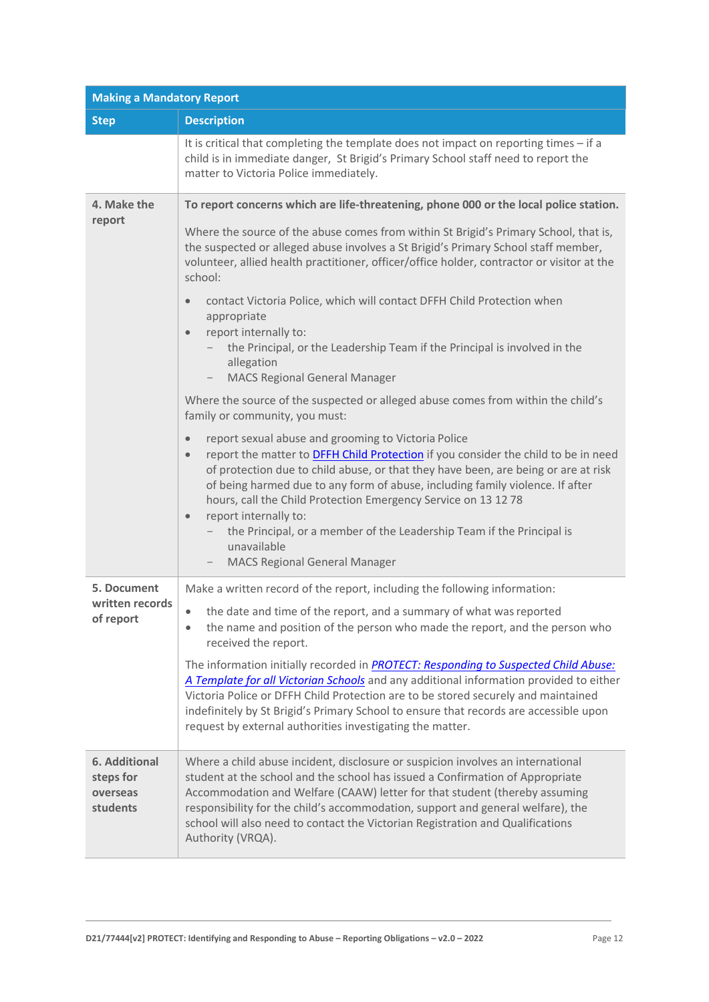| <b>Making a Mandatory Report</b>                   |                                                                                                                                                                                                                                                                                                                                                                                                                                                                                                                                                                                           |  |
|----------------------------------------------------|-------------------------------------------------------------------------------------------------------------------------------------------------------------------------------------------------------------------------------------------------------------------------------------------------------------------------------------------------------------------------------------------------------------------------------------------------------------------------------------------------------------------------------------------------------------------------------------------|--|
| <b>Step</b>                                        | <b>Description</b>                                                                                                                                                                                                                                                                                                                                                                                                                                                                                                                                                                        |  |
|                                                    | It is critical that completing the template does not impact on reporting times - if a<br>child is in immediate danger, St Brigid's Primary School staff need to report the<br>matter to Victoria Police immediately.                                                                                                                                                                                                                                                                                                                                                                      |  |
| 4. Make the                                        | To report concerns which are life-threatening, phone 000 or the local police station.                                                                                                                                                                                                                                                                                                                                                                                                                                                                                                     |  |
| report                                             | Where the source of the abuse comes from within St Brigid's Primary School, that is,<br>the suspected or alleged abuse involves a St Brigid's Primary School staff member,<br>volunteer, allied health practitioner, officer/office holder, contractor or visitor at the<br>school:                                                                                                                                                                                                                                                                                                       |  |
|                                                    | contact Victoria Police, which will contact DFFH Child Protection when<br>$\bullet$<br>appropriate<br>report internally to:<br>$\bullet$<br>the Principal, or the Leadership Team if the Principal is involved in the                                                                                                                                                                                                                                                                                                                                                                     |  |
|                                                    | allegation<br><b>MACS Regional General Manager</b>                                                                                                                                                                                                                                                                                                                                                                                                                                                                                                                                        |  |
|                                                    | Where the source of the suspected or alleged abuse comes from within the child's<br>family or community, you must:                                                                                                                                                                                                                                                                                                                                                                                                                                                                        |  |
|                                                    | report sexual abuse and grooming to Victoria Police<br>$\bullet$<br>report the matter to <b>DFFH Child Protection</b> if you consider the child to be in need<br>$\bullet$<br>of protection due to child abuse, or that they have been, are being or are at risk<br>of being harmed due to any form of abuse, including family violence. If after<br>hours, call the Child Protection Emergency Service on 13 12 78<br>report internally to:<br>$\bullet$<br>the Principal, or a member of the Leadership Team if the Principal is<br>unavailable<br><b>MACS Regional General Manager</b> |  |
| 5. Document                                        | Make a written record of the report, including the following information:                                                                                                                                                                                                                                                                                                                                                                                                                                                                                                                 |  |
| written records<br>of report                       | the date and time of the report, and a summary of what was reported<br>$\bullet$<br>the name and position of the person who made the report, and the person who<br>received the report.                                                                                                                                                                                                                                                                                                                                                                                                   |  |
|                                                    | The information initially recorded in PROTECT: Responding to Suspected Child Abuse:<br>A Template for all Victorian Schools and any additional information provided to either<br>Victoria Police or DFFH Child Protection are to be stored securely and maintained<br>indefinitely by St Brigid's Primary School to ensure that records are accessible upon<br>request by external authorities investigating the matter.                                                                                                                                                                  |  |
| 6. Additional<br>steps for<br>overseas<br>students | Where a child abuse incident, disclosure or suspicion involves an international<br>student at the school and the school has issued a Confirmation of Appropriate<br>Accommodation and Welfare (CAAW) letter for that student (thereby assuming<br>responsibility for the child's accommodation, support and general welfare), the<br>school will also need to contact the Victorian Registration and Qualifications<br>Authority (VRQA).                                                                                                                                                  |  |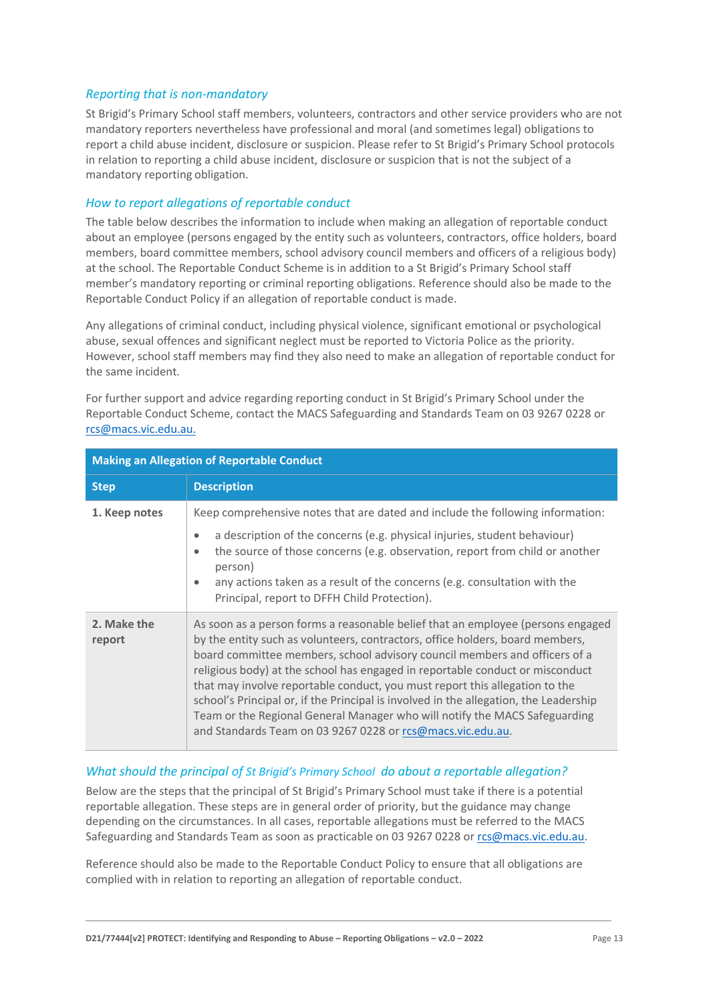#### *Reporting that is non-mandatory*

St Brigid's Primary School staff members, volunteers, contractors and other service providers who are not mandatory reporters nevertheless have professional and moral (and sometimes legal) obligations to report a child abuse incident, disclosure or suspicion. Please refer to St Brigid's Primary School protocols in relation to reporting a child abuse incident, disclosure or suspicion that is not the subject of a mandatory reporting obligation.

### *How to report allegations of reportable conduct*

The table below describes the information to include when making an allegation of reportable conduct about an employee (persons engaged by the entity such as volunteers, contractors, office holders, board members, board committee members, school advisory council members and officers of a religious body) at the school. The Reportable Conduct Scheme is in addition to a St Brigid's Primary School staff member's mandatory reporting or criminal reporting obligations. Reference should also be made to the Reportable Conduct Policy if an allegation of reportable conduct is made.

Any allegations of criminal conduct, including physical violence, significant emotional or psychological abuse, sexual offences and significant neglect must be reported to Victoria Police as the priority. However, school staff members may find they also need to make an allegation of reportable conduct for the same incident.

For further support and advice regarding reporting conduct in St Brigid's Primary School under the Reportable Conduct Scheme, contact the MACS Safeguarding and Standards Team on 03 9267 0228 or [rcs@macs.vic.edu.au.](mailto:rcs@macs.vic.edu.au.)

| <b>Making an Allegation of Reportable Conduct</b> |                                                                                                                                                                                                                                                                                                                                                                                                                                                                                                                                                                                                                                                     |
|---------------------------------------------------|-----------------------------------------------------------------------------------------------------------------------------------------------------------------------------------------------------------------------------------------------------------------------------------------------------------------------------------------------------------------------------------------------------------------------------------------------------------------------------------------------------------------------------------------------------------------------------------------------------------------------------------------------------|
| <b>Step</b>                                       | <b>Description</b>                                                                                                                                                                                                                                                                                                                                                                                                                                                                                                                                                                                                                                  |
| 1. Keep notes                                     | Keep comprehensive notes that are dated and include the following information:<br>a description of the concerns (e.g. physical injuries, student behaviour)<br>$\bullet$<br>the source of those concerns (e.g. observation, report from child or another<br>$\bullet$<br>person)<br>any actions taken as a result of the concerns (e.g. consultation with the<br>$\bullet$<br>Principal, report to DFFH Child Protection).                                                                                                                                                                                                                          |
| 2. Make the<br>report                             | As soon as a person forms a reasonable belief that an employee (persons engaged<br>by the entity such as volunteers, contractors, office holders, board members,<br>board committee members, school advisory council members and officers of a<br>religious body) at the school has engaged in reportable conduct or misconduct<br>that may involve reportable conduct, you must report this allegation to the<br>school's Principal or, if the Principal is involved in the allegation, the Leadership<br>Team or the Regional General Manager who will notify the MACS Safeguarding<br>and Standards Team on 03 9267 0228 or rcs@macs.vic.edu.au. |

#### *What should the principal of St Brigid's Primary School do about a reportable allegation?*

Below are the steps that the principal of St Brigid's Primary School must take if there is a potential reportable allegation. These steps are in general order of priority, but the guidance may change depending on the circumstances. In all cases, reportable allegations must be referred to the MACS Safeguarding and Standards Team as soon as practicable on 03 9267 0228 or [rcs@macs.vic.edu.au.](mailto:rcs@macs.vic.edu.au)

Reference should also be made to the Reportable Conduct Policy to ensure that all obligations are complied with in relation to reporting an allegation of reportable conduct.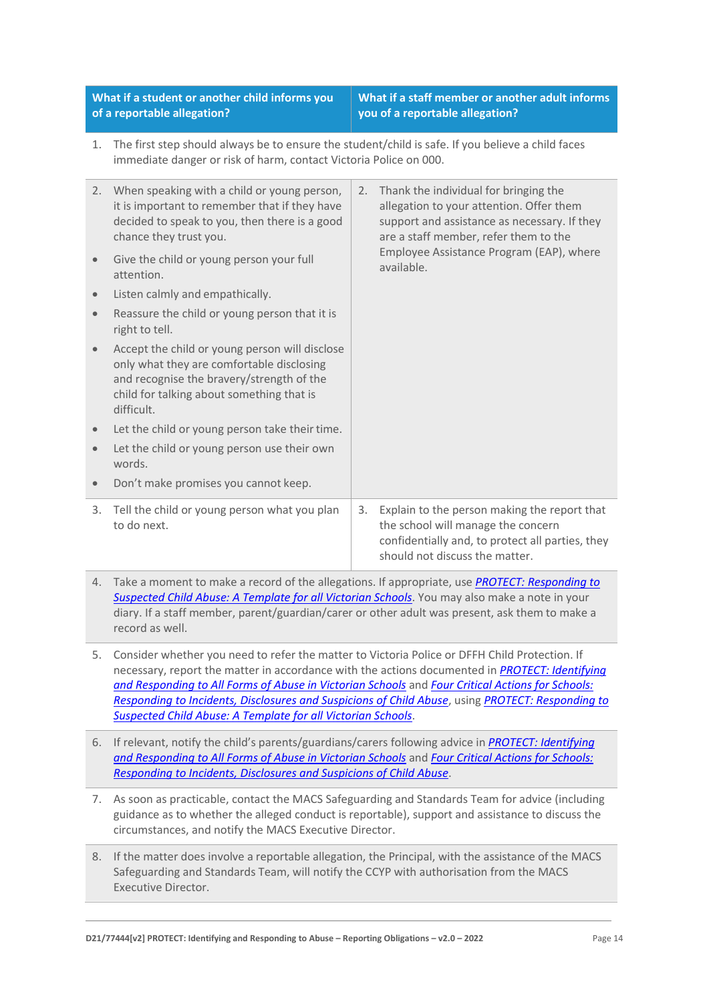**What if a student or another child informs you of a reportable allegation?**

**What if a staff member or another adult informs you of a reportable allegation?**

1. The first step should always be to ensure the student/child is safe. If you believe a child faces immediate danger or risk of harm, contact Victoria Police on 000.

| 2.        | When speaking with a child or young person,<br>it is important to remember that if they have<br>decided to speak to you, then there is a good<br>chance they trust you.<br>Give the child or young person your full | 2. | Thank the individual for bringing the<br>allegation to your attention. Offer them<br>support and assistance as necessary. If they<br>are a staff member, refer them to the<br>Employee Assistance Program (EAP), where |
|-----------|---------------------------------------------------------------------------------------------------------------------------------------------------------------------------------------------------------------------|----|------------------------------------------------------------------------------------------------------------------------------------------------------------------------------------------------------------------------|
|           | attention.                                                                                                                                                                                                          |    | available.                                                                                                                                                                                                             |
| $\bullet$ | Listen calmly and empathically.                                                                                                                                                                                     |    |                                                                                                                                                                                                                        |
| $\bullet$ | Reassure the child or young person that it is<br>right to tell.                                                                                                                                                     |    |                                                                                                                                                                                                                        |
|           | Accept the child or young person will disclose<br>only what they are comfortable disclosing<br>and recognise the bravery/strength of the<br>child for talking about something that is<br>difficult.                 |    |                                                                                                                                                                                                                        |
|           | Let the child or young person take their time.                                                                                                                                                                      |    |                                                                                                                                                                                                                        |
| $\bullet$ | Let the child or young person use their own<br>words.                                                                                                                                                               |    |                                                                                                                                                                                                                        |
|           | Don't make promises you cannot keep.                                                                                                                                                                                |    |                                                                                                                                                                                                                        |
| 3.        | Tell the child or young person what you plan<br>to do next.                                                                                                                                                         | 3. | Explain to the person making the report that<br>the school will manage the concern<br>confidentially and, to protect all parties, they<br>should not discuss the matter.                                               |

- 4. Take a moment to make a record of the allegations. If appropriate, use *[PROTECT: Responding to](http://www.education.vic.gov.au/Documents/about/programs/health/protect/PROTECT_Responding_TemplateSchools.pdf)  [Suspected Child Abuse: A Template for all Victorian Schools](http://www.education.vic.gov.au/Documents/about/programs/health/protect/PROTECT_Responding_TemplateSchools.pdf)*. You may also make a note in your diary. If a staff member, parent/guardian/carer or other adult was present, ask them to make a record as well.
- 5. Consider whether you need to refer the matter to Victoria Police or DFFH Child Protection. If necessary, report the matter in accordance with the actions documented in *[PROTECT: Identifying](http://www.education.vic.gov.au/Documents/about/programs/health/protect/ChildSafeStandard5_SchoolsGuide.pdf)  [and Responding to All Forms of Abuse in Victorian Schools](http://www.education.vic.gov.au/Documents/about/programs/health/protect/ChildSafeStandard5_SchoolsGuide.pdf)* and *[Four Critical Actions for Schools:](http://www.education.vic.gov.au/Documents/about/programs/health/protect/FourCriticalActions_ChildAbuse.pdf)  [Responding to Incidents, Disclosures and Suspicions of Child Abuse](http://www.education.vic.gov.au/Documents/about/programs/health/protect/FourCriticalActions_ChildAbuse.pdf)*, using *[PROTECT: Responding to](http://www.education.vic.gov.au/Documents/about/programs/health/protect/PROTECT_Responding_TemplateSchools.pdf)  [Suspected Child Abuse: A Template for all Victorian Schools](http://www.education.vic.gov.au/Documents/about/programs/health/protect/PROTECT_Responding_TemplateSchools.pdf)*.
- 6. If relevant, notify the child's parents/guardians/carers following advice in *[PROTECT: Identifying](http://www.education.vic.gov.au/Documents/about/programs/health/protect/ChildSafeStandard5_SchoolsGuide.pdf)  [and Responding to All Forms of Abuse in Victorian Schools](http://www.education.vic.gov.au/Documents/about/programs/health/protect/ChildSafeStandard5_SchoolsGuide.pdf)* and *[Four Critical Actions for Schools:](http://www.education.vic.gov.au/Documents/about/programs/health/protect/FourCriticalActions_ChildAbuse.pdf)  [Responding to Incidents, Disclosures and Suspicions of Child Abuse](http://www.education.vic.gov.au/Documents/about/programs/health/protect/FourCriticalActions_ChildAbuse.pdf)*.
- 7. As soon as practicable, contact the MACS Safeguarding and Standards Team for advice (including guidance as to whether the alleged conduct is reportable), support and assistance to discuss the circumstances, and notify the MACS Executive Director.
- 8. If the matter does involve a reportable allegation, the Principal, with the assistance of the MACS Safeguarding and Standards Team, will notify the CCYP with authorisation from the MACS Executive Director.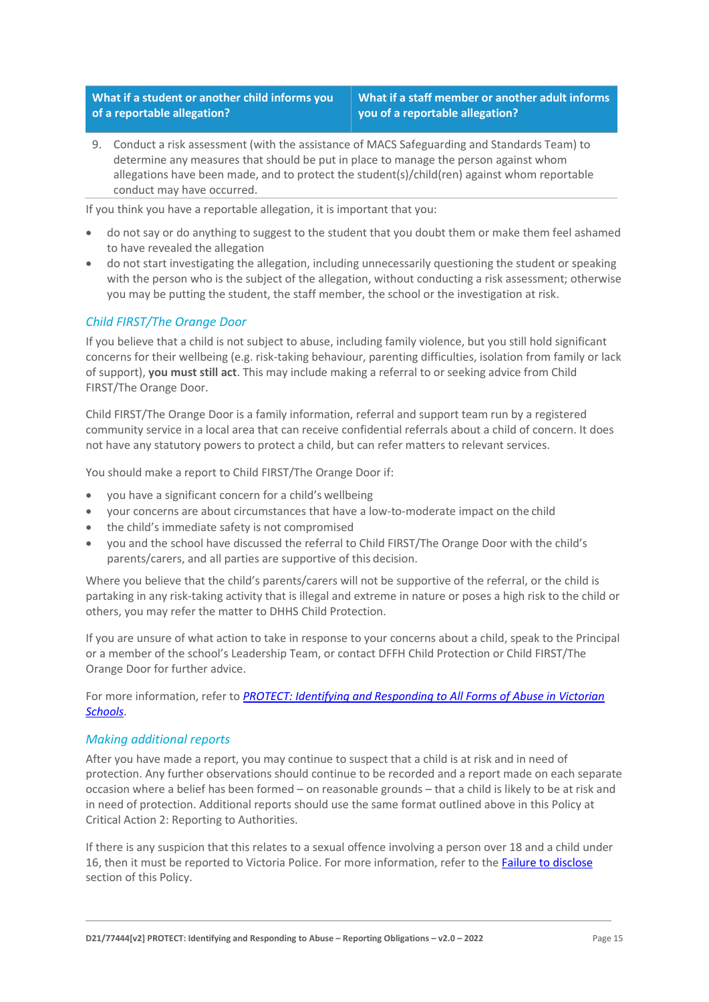**What if a student or another child informs you of a reportable allegation?**

**What if a staff member or another adult informs you of a reportable allegation?**

9. Conduct a risk assessment (with the assistance of MACS Safeguarding and Standards Team) to determine any measures that should be put in place to manage the person against whom allegations have been made, and to protect the student(s)/child(ren) against whom reportable conduct may have occurred.

If you think you have a reportable allegation, it is important that you:

- do not say or do anything to suggest to the student that you doubt them or make them feel ashamed to have revealed the allegation
- do not start investigating the allegation, including unnecessarily questioning the student or speaking with the person who is the subject of the allegation, without conducting a risk assessment; otherwise you may be putting the student, the staff member, the school or the investigation at risk.

# *Child FIRST/The Orange Door*

If you believe that a child is not subject to abuse, including family violence, but you still hold significant concerns for their wellbeing (e.g. risk-taking behaviour, parenting difficulties, isolation from family or lack of support), **you must still act**. This may include making a referral to or seeking advice from Child FIRST/The Orange Door.

Child FIRST/The Orange Door is a family information, referral and support team run by a registered community service in a local area that can receive confidential referrals about a child of concern. It does not have any statutory powers to protect a child, but can refer matters to relevant services.

You should make a report to Child FIRST/The Orange Door if:

- you have a significant concern for a child's wellbeing
- your concerns are about circumstances that have a low-to-moderate impact on the child
- the child's immediate safety is not compromised
- you and the school have discussed the referral to Child FIRST/The Orange Door with the child's parents/carers, and all parties are supportive of this decision.

Where you believe that the child's parents/carers will not be supportive of the referral, or the child is partaking in any risk-taking activity that is illegal and extreme in nature or poses a high risk to the child or others, you may refer the matter to DHHS Child Protection.

If you are unsure of what action to take in response to your concerns about a child, speak to the Principal or a member of the school's Leadership Team, or contact DFFH Child Protection or Child FIRST/The Orange Door for further advice.

For more information, refer to *[PROTECT: Identifying and Responding to All Forms of Abuse in Victorian](http://www.education.vic.gov.au/Documents/about/programs/health/protect/ChildSafeStandard5_SchoolsGuide.pdf)  [Schools](http://www.education.vic.gov.au/Documents/about/programs/health/protect/ChildSafeStandard5_SchoolsGuide.pdf)*.

#### *Making additional reports*

After you have made a report, you may continue to suspect that a child is at risk and in need of protection. Any further observations should continue to be recorded and a report made on each separate occasion where a belief has been formed – on reasonable grounds – that a child is likely to be at risk and in need of protection. Additional reports should use the same format outlined above in this Policy at Critical Action 2: Reporting to Authorities.

If there is any suspicion that this relates to a sexual offence involving a person over 18 and a child under 16, then it must be reported to Victoria Police. For more information, refer to th[e Failure to disclose](#page-5-0) section of this Policy.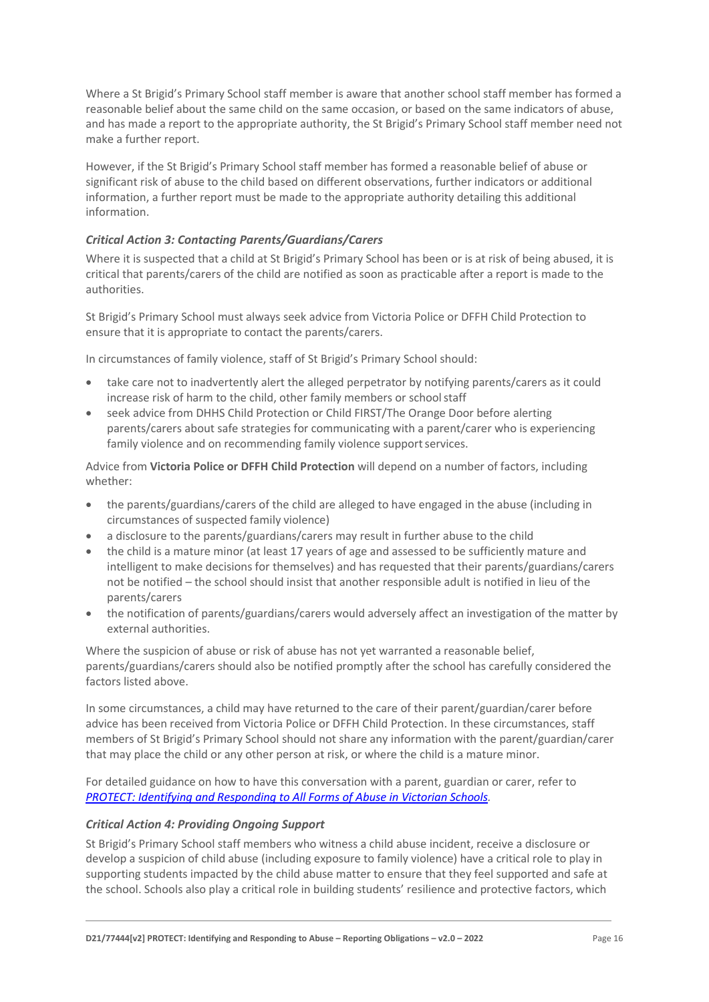Where a St Brigid's Primary School staff member is aware that another school staff member has formed a reasonable belief about the same child on the same occasion, or based on the same indicators of abuse, and has made a report to the appropriate authority, the St Brigid's Primary School staff member need not make a further report.

However, if the St Brigid's Primary School staff member has formed a reasonable belief of abuse or significant risk of abuse to the child based on different observations, further indicators or additional information, a further report must be made to the appropriate authority detailing this additional information.

### *Critical Action 3: Contacting Parents/Guardians/Carers*

Where it is suspected that a child at St Brigid's Primary School has been or is at risk of being abused, it is critical that parents/carers of the child are notified as soon as practicable after a report is made to the authorities.

St Brigid's Primary School must always seek advice from Victoria Police or DFFH Child Protection to ensure that it is appropriate to contact the parents/carers.

In circumstances of family violence, staff of St Brigid's Primary School should:

- take care not to inadvertently alert the alleged perpetrator by notifying parents/carers as it could increase risk of harm to the child, other family members or school staff
- seek advice from DHHS Child Protection or Child FIRST/The Orange Door before alerting parents/carers about safe strategies for communicating with a parent/carer who is experiencing family violence and on recommending family violence support services.

Advice from **Victoria Police or DFFH Child Protection** will depend on a number of factors, including whether:

- the parents/guardians/carers of the child are alleged to have engaged in the abuse (including in circumstances of suspected family violence)
- a disclosure to the parents/guardians/carers may result in further abuse to the child
- the child is a mature minor (at least 17 years of age and assessed to be sufficiently mature and intelligent to make decisions for themselves) and has requested that their parents/guardians/carers not be notified – the school should insist that another responsible adult is notified in lieu of the parents/carers
- the notification of parents/guardians/carers would adversely affect an investigation of the matter by external authorities.

Where the suspicion of abuse or risk of abuse has not yet warranted a reasonable belief, parents/guardians/carers should also be notified promptly after the school has carefully considered the factors listed above.

In some circumstances, a child may have returned to the care of their parent/guardian/carer before advice has been received from Victoria Police or DFFH Child Protection. In these circumstances, staff members of St Brigid's Primary School should not share any information with the parent/guardian/carer that may place the child or any other person at risk, or where the child is a mature minor.

For detailed guidance on how to have this conversation with a parent, guardian or carer, refer to *[PROTECT: Identifying and Responding to All Forms of Abuse in Victorian Schools.](http://www.education.vic.gov.au/Documents/about/programs/health/protect/ChildSafeStandard5_SchoolsGuide.pdf)*

#### *Critical Action 4: Providing Ongoing Support*

St Brigid's Primary School staff members who witness a child abuse incident, receive a disclosure or develop a suspicion of child abuse (including exposure to family violence) have a critical role to play in supporting students impacted by the child abuse matter to ensure that they feel supported and safe at the school. Schools also play a critical role in building students' resilience and protective factors, which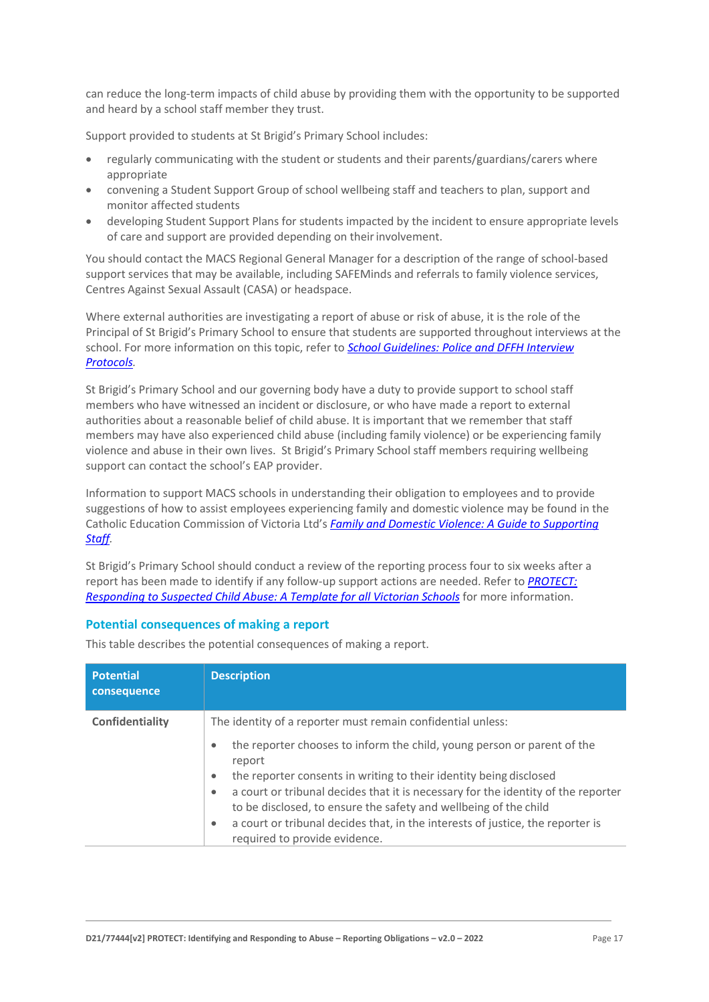can reduce the long-term impacts of child abuse by providing them with the opportunity to be supported and heard by a school staff member they trust.

Support provided to students at St Brigid's Primary School includes:

- regularly communicating with the student or students and their parents/guardians/carers where appropriate
- convening a Student Support Group of school wellbeing staff and teachers to plan, support and monitor affected students
- developing Student Support Plans for students impacted by the incident to ensure appropriate levels of care and support are provided depending on their involvement.

You should contact the MACS Regional General Manager for a description of the range of school-based support services that may be available, including SAFEMinds and referrals to family violence services, Centres Against Sexual Assault (CASA) or headspace.

Where external authorities are investigating a report of abuse or risk of abuse, it is the role of the Principal of St Brigid's Primary School to ensure that students are supported throughout interviews at the school. For more information on this topic, refer to *[School Guidelines: Police and DFFH](https://www.cem.edu.au/About-Us/Policies/Police-and-DHHS-Interview-Protocols.aspx) Interview [Protocols.](https://www.cem.edu.au/About-Us/Policies/Police-and-DHHS-Interview-Protocols.aspx)*

St Brigid's Primary School and our governing body have a duty to provide support to school staff members who have witnessed an incident or disclosure, or who have made a report to external authorities about a reasonable belief of child abuse. It is important that we remember that staff members may have also experienced child abuse (including family violence) or be experiencing family violence and abuse in their own lives. St Brigid's Primary School staff members requiring wellbeing support can contact the school's EAP provider.

Information to support MACS schools in understanding their obligation to employees and to provide suggestions of how to assist employees experiencing family and domestic violence may be found in the Catholic Education Commission of Victoria Ltd's *[Family and Domestic Violence: A Guide to Supporting](https://www.cecv.catholic.edu.au/Media-Files/IR/Policies-Guidelines/Family-Domestic-Violence/Guide-to-family-and-domestic-violence-(1).aspx)  [Staff](https://www.cecv.catholic.edu.au/Media-Files/IR/Policies-Guidelines/Family-Domestic-Violence/Guide-to-family-and-domestic-violence-(1).aspx)[.](http://www.cecv.catholic.edu.au/Media-Files/IR/Policies-Guidelines/Guide-to-family-and-domestic-violence.aspx)*

St Brigid's Primary School should conduct a review of the reporting process four to six weeks after a report has been made to identify if any follow-up support actions are needed. Refer to *[PROTECT:](http://www.education.vic.gov.au/Documents/about/programs/health/protect/PROTECT_Responding_TemplateSchools.pdf)  [Responding to Suspected Child Abuse: A Template for all Victorian Schools](http://www.education.vic.gov.au/Documents/about/programs/health/protect/PROTECT_Responding_TemplateSchools.pdf)* for more information.

#### **Potential consequences of making a report**

This table describes the potential consequences of making a report.

| <b>Potential</b><br>consequence | <b>Description</b>                                                                                                                                                                                                                                                |
|---------------------------------|-------------------------------------------------------------------------------------------------------------------------------------------------------------------------------------------------------------------------------------------------------------------|
| Confidentiality                 | The identity of a reporter must remain confidential unless:                                                                                                                                                                                                       |
|                                 | the reporter chooses to inform the child, young person or parent of the<br>$\bullet$<br>report<br>the reporter consents in writing to their identity being disclosed<br>$\bullet$                                                                                 |
|                                 | a court or tribunal decides that it is necessary for the identity of the reporter<br>$\bullet$<br>to be disclosed, to ensure the safety and wellbeing of the child<br>a court or tribunal decides that, in the interests of justice, the reporter is<br>$\bullet$ |
|                                 | required to provide evidence.                                                                                                                                                                                                                                     |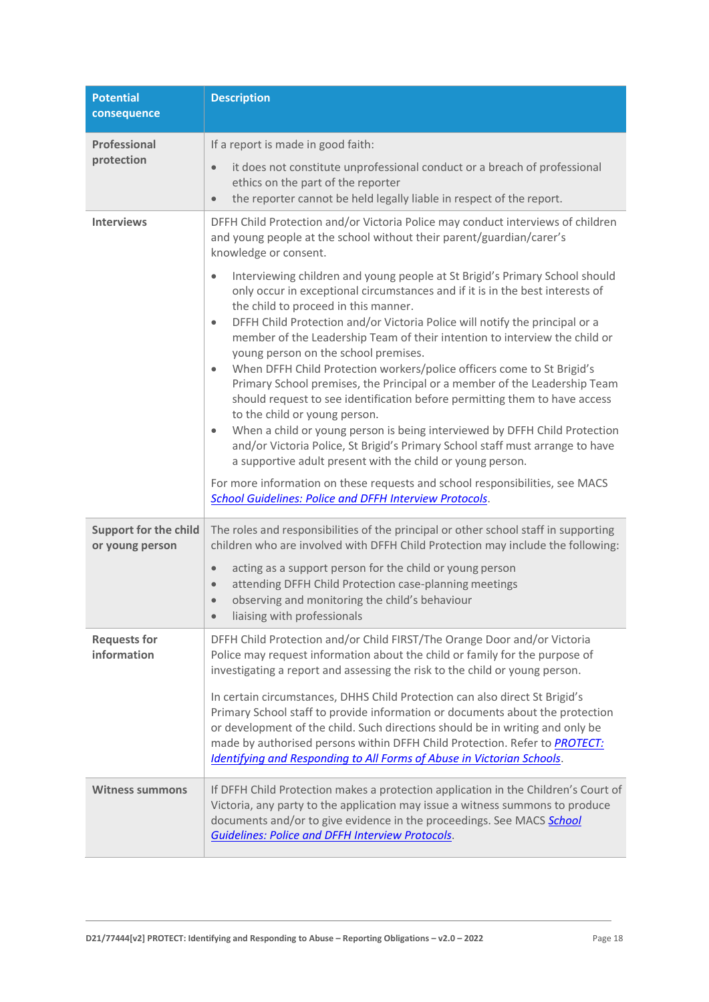| <b>Potential</b><br>consequence                 | <b>Description</b>                                                                                                                                                                                                                                                                                                                                                                                                                                                                                                                                                                                                                                                                                                                                                                                                                                                                                                                                                                                                                                                                                                 |
|-------------------------------------------------|--------------------------------------------------------------------------------------------------------------------------------------------------------------------------------------------------------------------------------------------------------------------------------------------------------------------------------------------------------------------------------------------------------------------------------------------------------------------------------------------------------------------------------------------------------------------------------------------------------------------------------------------------------------------------------------------------------------------------------------------------------------------------------------------------------------------------------------------------------------------------------------------------------------------------------------------------------------------------------------------------------------------------------------------------------------------------------------------------------------------|
| Professional                                    | If a report is made in good faith:                                                                                                                                                                                                                                                                                                                                                                                                                                                                                                                                                                                                                                                                                                                                                                                                                                                                                                                                                                                                                                                                                 |
| protection                                      | it does not constitute unprofessional conduct or a breach of professional<br>$\bullet$<br>ethics on the part of the reporter<br>the reporter cannot be held legally liable in respect of the report.<br>$\bullet$                                                                                                                                                                                                                                                                                                                                                                                                                                                                                                                                                                                                                                                                                                                                                                                                                                                                                                  |
| <b>Interviews</b>                               | DFFH Child Protection and/or Victoria Police may conduct interviews of children<br>and young people at the school without their parent/guardian/carer's<br>knowledge or consent.                                                                                                                                                                                                                                                                                                                                                                                                                                                                                                                                                                                                                                                                                                                                                                                                                                                                                                                                   |
|                                                 | Interviewing children and young people at St Brigid's Primary School should<br>$\bullet$<br>only occur in exceptional circumstances and if it is in the best interests of<br>the child to proceed in this manner.<br>DFFH Child Protection and/or Victoria Police will notify the principal or a<br>$\bullet$<br>member of the Leadership Team of their intention to interview the child or<br>young person on the school premises.<br>When DFFH Child Protection workers/police officers come to St Brigid's<br>$\bullet$<br>Primary School premises, the Principal or a member of the Leadership Team<br>should request to see identification before permitting them to have access<br>to the child or young person.<br>When a child or young person is being interviewed by DFFH Child Protection<br>$\bullet$<br>and/or Victoria Police, St Brigid's Primary School staff must arrange to have<br>a supportive adult present with the child or young person.<br>For more information on these requests and school responsibilities, see MACS<br><b>School Guidelines: Police and DFFH Interview Protocols.</b> |
| <b>Support for the child</b><br>or young person | The roles and responsibilities of the principal or other school staff in supporting<br>children who are involved with DFFH Child Protection may include the following:                                                                                                                                                                                                                                                                                                                                                                                                                                                                                                                                                                                                                                                                                                                                                                                                                                                                                                                                             |
|                                                 | acting as a support person for the child or young person<br>$\bullet$<br>attending DFFH Child Protection case-planning meetings<br>$\bullet$<br>observing and monitoring the child's behaviour<br>$\bullet$<br>liaising with professionals                                                                                                                                                                                                                                                                                                                                                                                                                                                                                                                                                                                                                                                                                                                                                                                                                                                                         |
| <b>Requests for</b><br>information              | DFFH Child Protection and/or Child FIRST/The Orange Door and/or Victoria<br>Police may request information about the child or family for the purpose of<br>investigating a report and assessing the risk to the child or young person.<br>In certain circumstances, DHHS Child Protection can also direct St Brigid's<br>Primary School staff to provide information or documents about the protection                                                                                                                                                                                                                                                                                                                                                                                                                                                                                                                                                                                                                                                                                                             |
|                                                 | or development of the child. Such directions should be in writing and only be<br>made by authorised persons within DFFH Child Protection. Refer to <b>PROTECT:</b><br><b>Identifying and Responding to All Forms of Abuse in Victorian Schools.</b>                                                                                                                                                                                                                                                                                                                                                                                                                                                                                                                                                                                                                                                                                                                                                                                                                                                                |
| <b>Witness summons</b>                          | If DFFH Child Protection makes a protection application in the Children's Court of<br>Victoria, any party to the application may issue a witness summons to produce<br>documents and/or to give evidence in the proceedings. See MACS School<br><b>Guidelines: Police and DFFH Interview Protocols.</b>                                                                                                                                                                                                                                                                                                                                                                                                                                                                                                                                                                                                                                                                                                                                                                                                            |